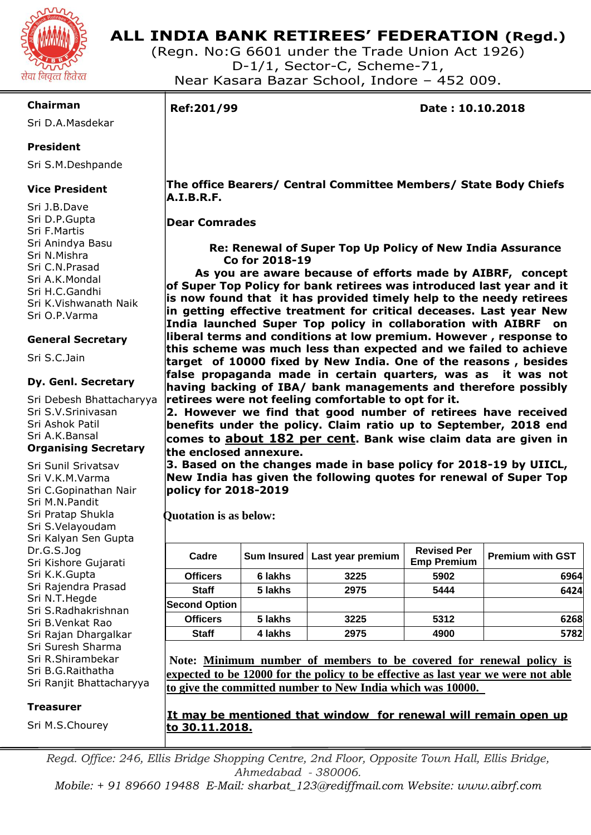

# **ALL INDIA BANK RETIREES' FEDERATION (Regd.)**

(Regn. No:G 6601 under the Trade Union Act 1926) D-1/1, Sector-C, Scheme-71, Near Kasara Bazar School, Indore – 452 009.

### **Chairman**

Sri D.A.Masdekar

## **President**

Sri S.M.Deshpande

## **Vice President**

Sri J.B.Dave Sri D.P.Gupta Sri F.Martis Sri Anindya Basu Sri N.Mishra Sri C.N.Prasad Sri A.K.Mondal Sri H.C.Gandhi Sri K.Vishwanath Naik Sri O.P.Varma

### **General Secretary**

Sri S.C.Jain

### **Dy. Genl. Secretary**

Sri Debesh Bhattacharyya Sri S.V.Srinivasan Sri Ashok Patil Sri A.K.Bansal

### **Organising Secretary**

Sri Sunil Srivatsav Sri V.K.M.Varma Sri C.Gopinathan Nair Sri M.N.Pandit Sri Pratap Shukla Sri S.Velayoudam Sri Kalyan Sen Gupta Dr.G.S.Jog Sri Kishore Gujarati Sri K.K.Gupta Sri Rajendra Prasad Sri N.T.Hegde Sri S.Radhakrishnan Sri B.Venkat Rao Sri Rajan Dhargalkar Sri Suresh Sharma Sri R.Shirambekar Sri B.G.Raithatha Sri Ranjit Bhattacharyya

#### **Treasurer**

Sri M.S.Chourey

٦

**Ref:201/99 Date : 10.10.2018**

 **The office Bearers/ Central Committee Members/ State Body Chiefs A.I.B.R.F.**

### **Dear Comrades**

 **Re: Renewal of Super Top Up Policy of New India Assurance Co for 2018-19**

 **As you are aware because of efforts made by AIBRF, concept of Super Top Policy for bank retirees was introduced last year and it is now found that it has provided timely help to the needy retirees in getting effective treatment for critical deceases. Last year New India launched Super Top policy in collaboration with AIBRF on liberal terms and conditions at low premium. However , response to this scheme was much less than expected and we failed to achieve target of 10000 fixed by New India. One of the reasons , besides false propaganda made in certain quarters, was as it was not having backing of IBA/ bank managements and therefore possibly retirees were not feeling comfortable to opt for it.**

**2. However we find that good number of retirees have received benefits under the policy. Claim ratio up to September, 2018 end comes to about 182 per cent. Bank wise claim data are given in the enclosed annexure.**

**3. Based on the changes made in base policy for 2018-19 by UIICL, New India has given the following quotes for renewal of Super Top policy for 2018-2019**

 **Quotation is as below:**

| Cadre                |         | Sum Insured   Last year premium | <b>Revised Per</b><br><b>Emp Premium</b> | <b>Premium with GST</b> |
|----------------------|---------|---------------------------------|------------------------------------------|-------------------------|
| <b>Officers</b>      | 6 lakhs | 3225                            | 5902                                     | 6964                    |
| <b>Staff</b>         | 5 lakhs | 2975                            | 5444                                     | 6424                    |
| <b>Second Option</b> |         |                                 |                                          |                         |
| <b>Officers</b>      | 5 lakhs | 3225                            | 5312                                     | 6268                    |
| <b>Staff</b>         | 4 lakhs | 2975                            | 4900                                     | 5782                    |

**Note: Minimum number of members to be covered for renewal policy is expected to be 12000 for the policy to be effective as last year we were not able to give the committed number to New India which was 10000.** 

**It may be mentioned that window for renewal will remain open up to 30.11.2018.**

*Regd. Office: 246, Ellis Bridge Shopping Centre, 2nd Floor, Opposite Town Hall, Ellis Bridge, Ahmedabad - 380006.*

*Mobile: + 91 89660 19488 E-Mail: [sharbat\\_123@rediffmail.com](mailto:aicbrf2010@gmail.com) Website: www.aibrf.com*